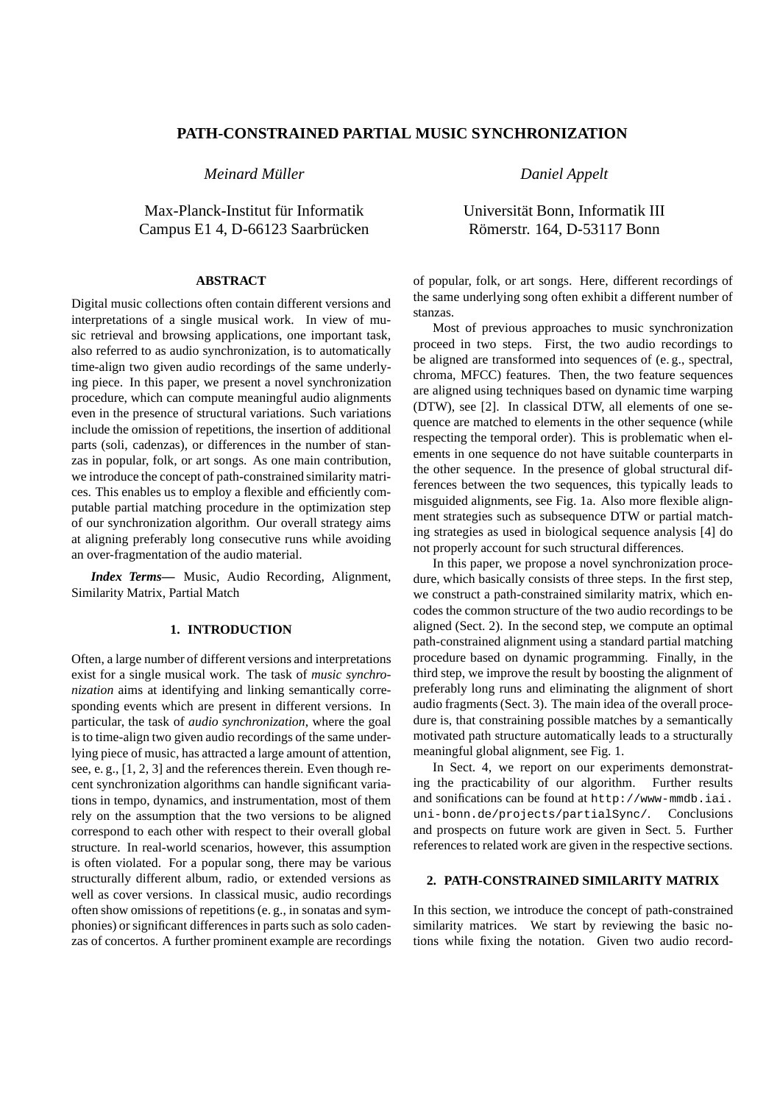## **PATH-CONSTRAINED PARTIAL MUSIC SYNCHRONIZATION**

*Meinard Muller ¨*

Max-Planck-Institut für Informatik Campus E1 4, D-66123 Saarbrücken

#### **ABSTRACT**

Digital music collections often contain different versions and interpretations of a single musical work. In view of music retrieval and browsing applications, one important task, also referred to as audio synchronization, is to automatically time-align two given audio recordings of the same underlying piece. In this paper, we present a novel synchronization procedure, which can compute meaningful audio alignments even in the presence of structural variations. Such variations include the omission of repetitions, the insertion of additional parts (soli, cadenzas), or differences in the number of stanzas in popular, folk, or art songs. As one main contribution, we introduce the concept of path-constrained similarity matrices. This enables us to employ a flexible and efficiently computable partial matching procedure in the optimization step of our synchronization algorithm. Our overall strategy aims at aligning preferably long consecutive runs while avoiding an over-fragmentation of the audio material.

*Index Terms***—** Music, Audio Recording, Alignment, Similarity Matrix, Partial Match

#### **1. INTRODUCTION**

Often, a large number of different versions and interpretations exist for a single musical work. The task of *music synchronization* aims at identifying and linking semantically corresponding events which are present in different versions. In particular, the task of *audio synchronization*, where the goal is to time-align two given audio recordings of the same underlying piece of music, has attracted a large amount of attention, see, e. g., [1, 2, 3] and the references therein. Even though recent synchronization algorithms can handle significant variations in tempo, dynamics, and instrumentation, most of them rely on the assumption that the two versions to be aligned correspond to each other with respect to their overall global structure. In real-world scenarios, however, this assumption is often violated. For a popular song, there may be various structurally different album, radio, or extended versions as well as cover versions. In classical music, audio recordings often show omissions of repetitions (e. g., in sonatas and symphonies) or significant differences in parts such as solo cadenzas of concertos. A further prominent example are recordings *Daniel Appelt*

# Universität Bonn, Informatik III Römerstr. 164, D-53117 Bonn

of popular, folk, or art songs. Here, different recordings of the same underlying song often exhibit a different number of stanzas.

Most of previous approaches to music synchronization proceed in two steps. First, the two audio recordings to be aligned are transformed into sequences of (e. g., spectral, chroma, MFCC) features. Then, the two feature sequences are aligned using techniques based on dynamic time warping (DTW), see [2]. In classical DTW, all elements of one sequence are matched to elements in the other sequence (while respecting the temporal order). This is problematic when elements in one sequence do not have suitable counterparts in the other sequence. In the presence of global structural differences between the two sequences, this typically leads to misguided alignments, see Fig. 1a. Also more flexible alignment strategies such as subsequence DTW or partial matching strategies as used in biological sequence analysis [4] do not properly account for such structural differences.

In this paper, we propose a novel synchronization procedure, which basically consists of three steps. In the first step, we construct a path-constrained similarity matrix, which encodes the common structure of the two audio recordings to be aligned (Sect. 2). In the second step, we compute an optimal path-constrained alignment using a standard partial matching procedure based on dynamic programming. Finally, in the third step, we improve the result by boosting the alignment of preferably long runs and eliminating the alignment of short audio fragments (Sect. 3). The main idea of the overall procedure is, that constraining possible matches by a semantically motivated path structure automatically leads to a structurally meaningful global alignment, see Fig. 1.

In Sect. 4, we report on our experiments demonstrating the practicability of our algorithm. Further results and sonifications can be found at http://www-mmdb.iai. uni-bonn.de/projects/partialSync/. Conclusions and prospects on future work are given in Sect. 5. Further references to related work are given in the respective sections.

## **2. PATH-CONSTRAINED SIMILARITY MATRIX**

In this section, we introduce the concept of path-constrained similarity matrices. We start by reviewing the basic notions while fixing the notation. Given two audio record-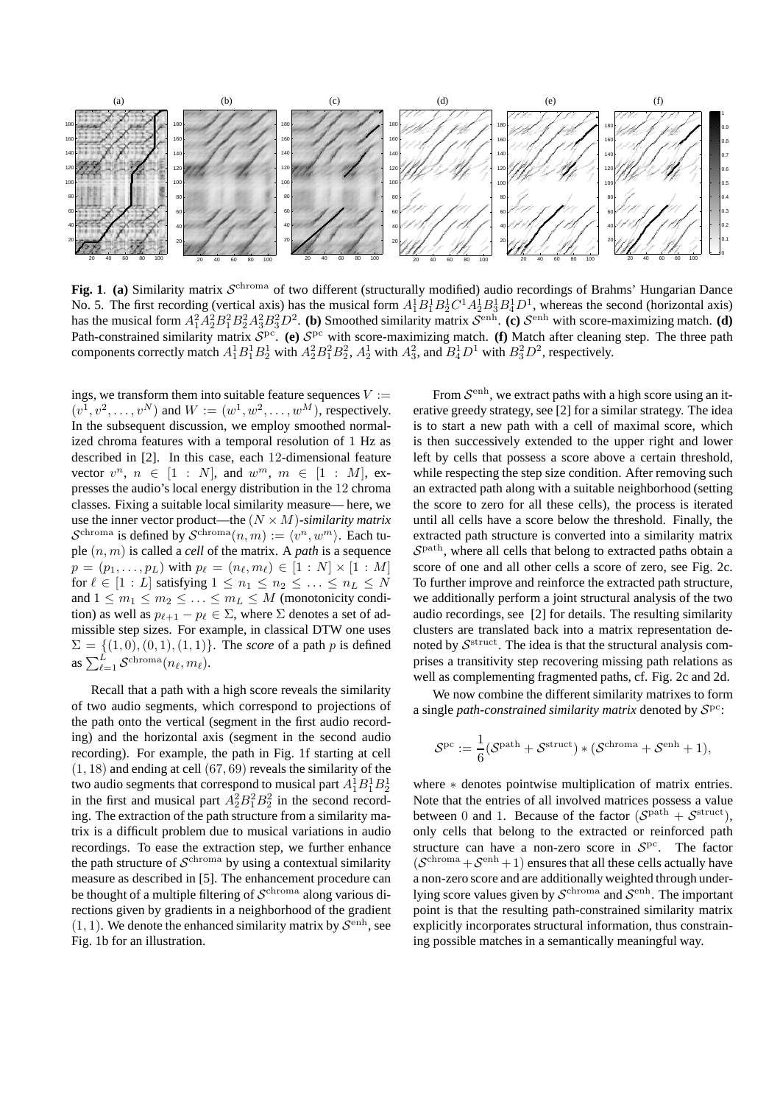

Fig. 1. (a) Similarity matrix  $S^{\text{chroma}}$  of two different (structurally modified) audio recordings of Brahms' Hungarian Dance No. 5. The first recording (vertical axis) has the musical form  $A_1^1B_1^1B_2^1C^1A_2^1B_3^1B_4^1D^1$ , whereas the second (horizontal axis) has the musical form  $A_1^2 A_2^2 B_1^2 B_2^2 A_3^2 B_3^2 D^2$ . **(b)** Smoothed similarity matrix  $S^{\text{enh}}$ . **(c)**  $S^{\text{enh}}$  with score-maximizing match. **(d)** Path-constrained similarity matrix  $S^{pc}$ . (e)  $S^{pc}$  with score-maximizing match. (f) Match after cleaning step. The three path components correctly match  $A_1^1B_1^1B_2^1$  with  $A_2^2B_1^2B_2^2$ ,  $A_2^1$  with  $A_3^2$ , and  $B_4^1D^1$  with  $B_3^2D^2$ , respectively.

ings, we transform them into suitable feature sequences  $V :=$  $(v^1, v^2, \dots, v^N)$  and  $W := (w^1, w^2, \dots, w^M)$ , respectively. In the subsequent discussion, we employ smoothed normalized chroma features with a temporal resolution of 1 Hz as described in [2]. In this case, each 12-dimensional feature vector  $v^n$ ,  $n \in [1 : N]$ , and  $w^m$ ,  $m \in [1 : M]$ , expresses the audio's local energy distribution in the 12 chroma classes. Fixing a suitable local similarity measure— here, we use the inner vector product—the (N × M)-*similarity matrix*  $\mathcal{S}^{\text{chroma}}$  is defined by  $\mathcal{S}^{\text{chroma}}(n,m) := \langle v^n, w^m \rangle$ . Each tuple (n, m) is called a *cell* of the matrix. A *path* is a sequence  $p = (p_1, \ldots, p_L)$  with  $p_\ell = (n_\ell, m_\ell) \in [1 : N] \times [1 : M]$ for  $\ell \in [1 : L]$  satisfying  $1 \leq n_1 \leq n_2 \leq \ldots \leq n_L \leq N$ and  $1 \leq m_1 \leq m_2 \leq \ldots \leq m_L \leq M$  (monotonicity condition) as well as  $p_{\ell+1} - p_{\ell} \in \Sigma$ , where  $\Sigma$  denotes a set of admissible step sizes. For example, in classical DTW one uses  $\Sigma = \{(1, 0), (0, 1), (1, 1)\}.$  The *score* of a path p is defined as  $\sum_{\ell=1}^L \mathcal{S}^{\text{chroma}}(n_\ell, m_\ell)$ .

Recall that a path with a high score reveals the similarity of two audio segments, which correspond to projections of the path onto the vertical (segment in the first audio recording) and the horizontal axis (segment in the second audio recording). For example, the path in Fig. 1f starting at cell (1, 18) and ending at cell (67, 69) reveals the similarity of the two audio segments that correspond to musical part  $A_1^1B_1^1B_2^1$ in the first and musical part  $A_2^2 B_1^2 B_2^2$  in the second recording. The extraction of the path structure from a similarity matrix is a difficult problem due to musical variations in audio recordings. To ease the extraction step, we further enhance the path structure of  $\mathcal{S}^{\text{chroma}}$  by using a contextual similarity measure as described in [5]. The enhancement procedure can be thought of a multiple filtering of  $\mathcal{S}^{\text{chroma}}$  along various directions given by gradients in a neighborhood of the gradient  $(1, 1)$ . We denote the enhanced similarity matrix by  $\mathcal{S}^{\text{enh}}$ , see Fig. 1b for an illustration.

From  $\mathcal{S}^{\text{enh}}$ , we extract paths with a high score using an iterative greedy strategy, see [2] for a similar strategy. The idea is to start a new path with a cell of maximal score, which is then successively extended to the upper right and lower left by cells that possess a score above a certain threshold, while respecting the step size condition. After removing such an extracted path along with a suitable neighborhood (setting the score to zero for all these cells), the process is iterated until all cells have a score below the threshold. Finally, the extracted path structure is converted into a similarity matrix  $S<sup>path</sup>$ , where all cells that belong to extracted paths obtain a score of one and all other cells a score of zero, see Fig. 2c. To further improve and reinforce the extracted path structure, we additionally perform a joint structural analysis of the two audio recordings, see [2] for details. The resulting similarity clusters are translated back into a matrix representation denoted by  $\mathcal{S}^{\text{struct}}$ . The idea is that the structural analysis comprises a transitivity step recovering missing path relations as well as complementing fragmented paths, cf. Fig. 2c and 2d.

We now combine the different similarity matrixes to form a single *path-constrained similarity matrix* denoted by  $S<sup>pc</sup>$ :

$$
\mathcal{S}^{\mathrm{pc}}:=\frac{1}{6}(\mathcal{S}^{\mathrm{path}}+\mathcal{S}^{\mathrm{struct}})*(\mathcal{S}^{\mathrm{chroma}}+\mathcal{S}^{\mathrm{enh}}+1),
$$

where ∗ denotes pointwise multiplication of matrix entries. Note that the entries of all involved matrices possess a value between 0 and 1. Because of the factor  $(S<sup>path</sup> + S<sup>struct</sup>)$ , only cells that belong to the extracted or reinforced path structure can have a non-zero score in  $S<sup>pc</sup>$ . The factor  $(S^{\text{chroma}} + S^{\text{enh}} + 1)$  ensures that all these cells actually have a non-zero score and are additionally weighted through underlying score values given by  $\mathcal{S}^{\text{chroma}}$  and  $\mathcal{S}^{\text{enh}}$ . The important point is that the resulting path-constrained similarity matrix explicitly incorporates structural information, thus constraining possible matches in a semantically meaningful way.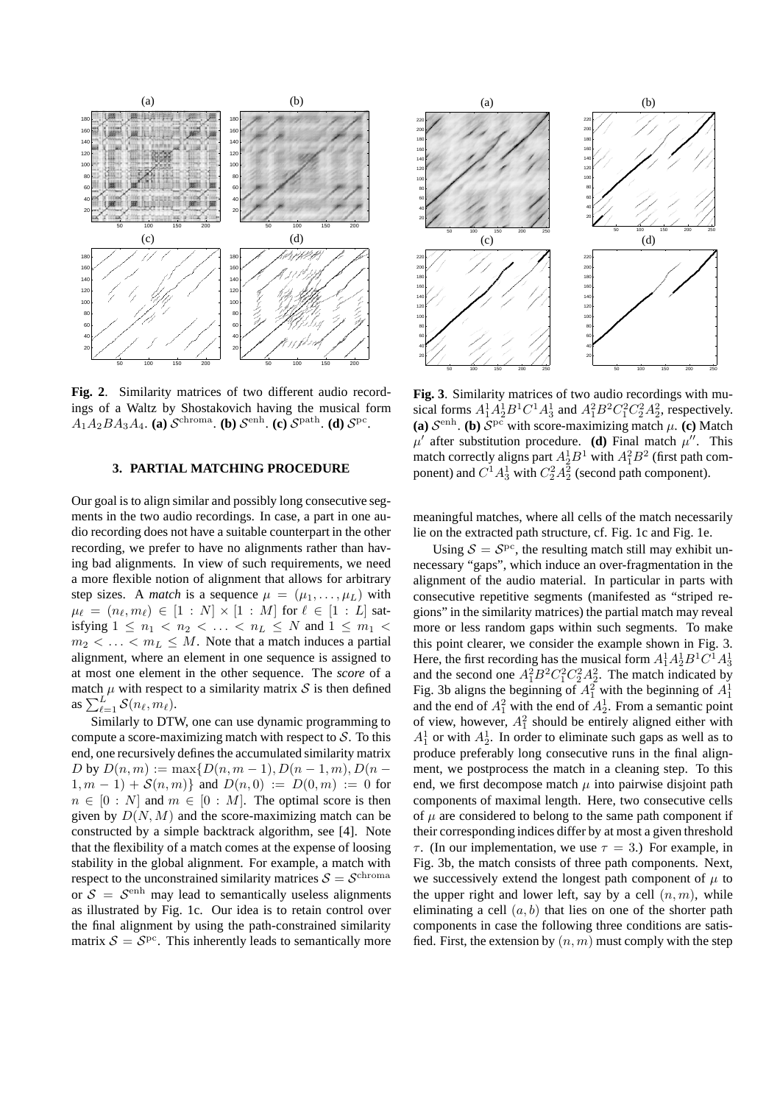

**Fig. 2**. Similarity matrices of two different audio recordings of a Waltz by Shostakovich having the musical form  $A_1A_2BA_3A_4$ . **(a)**  $\mathcal{S}^{\text{chroma}}$ . **(b)**  $\mathcal{S}^{\text{enh}}$ . **(c)**  $\mathcal{S}^{\text{path}}$ . **(d)**  $\mathcal{S}^{\text{pc}}$ .

### **3. PARTIAL MATCHING PROCEDURE**

Our goal is to align similar and possibly long consecutive segments in the two audio recordings. In case, a part in one audio recording does not have a suitable counterpart in the other recording, we prefer to have no alignments rather than having bad alignments. In view of such requirements, we need a more flexible notion of alignment that allows for arbitrary step sizes. A *match* is a sequence  $\mu = (\mu_1, \dots, \mu_L)$  with  $\mu_{\ell} = (n_{\ell}, m_{\ell}) \in [1 : N] \times [1 : M]$  for  $\ell \in [1 : L]$  satisfying  $1 \leq n_1 < n_2 < \ldots < n_L \leq N$  and  $1 \leq m_1 <$  $m_2 < \ldots < m_L \leq M$ . Note that a match induces a partial alignment, where an element in one sequence is assigned to at most one element in the other sequence. The *score* of a match  $\mu$  with respect to a similarity matrix  $\mathcal S$  is then defined as  $\sum_{\ell=1}^{L'} S(n_\ell, m_\ell)$ .

Similarly to DTW, one can use dynamic programming to compute a score-maximizing match with respect to  $S$ . To this end, one recursively defines the accumulated similarity matrix D by  $D(n, m) := \max\{D(n, m-1), D(n-1, m), D(n 1, m - 1$ ) +  $S(n, m)$ } and  $D(n, 0) := D(0, m) := 0$  for  $n \in [0 : N]$  and  $m \in [0 : M]$ . The optimal score is then given by  $D(N, M)$  and the score-maximizing match can be constructed by a simple backtrack algorithm, see [4]. Note that the flexibility of a match comes at the expense of loosing stability in the global alignment. For example, a match with respect to the unconstrained similarity matrices  $S = \mathcal{S}^{\text{chroma}}$ or  $S = S<sup>enh</sup>$  may lead to semantically useless alignments as illustrated by Fig. 1c. Our idea is to retain control over the final alignment by using the path-constrained similarity matrix  $S = S<sup>pc</sup>$ . This inherently leads to semantically more



**Fig. 3**. Similarity matrices of two audio recordings with musical forms  $A_1^1 A_2^1 B^1 C^1 A_3^1$  and  $A_1^2 B^2 C_1^2 C_2^2 A_2^2$ , respectively. (a)  $S^{\text{enh}}$ . (b)  $S^{\text{pc}}$  with score-maximizing match  $\mu$ . (c) Match  $\mu'$  after substitution procedure. **(d)** Final match  $\mu''$ . This match correctly aligns part  $A_2^1 B^1$  with  $A_1^2 B^2$  (first path component) and  $C^1A_3^1$  with  $C_2^2A_2^2$  (second path component).

meaningful matches, where all cells of the match necessarily lie on the extracted path structure, cf. Fig. 1c and Fig. 1e.

Using  $S = S<sup>pc</sup>$ , the resulting match still may exhibit unnecessary "gaps", which induce an over-fragmentation in the alignment of the audio material. In particular in parts with consecutive repetitive segments (manifested as "striped regions" in the similarity matrices) the partial match may reveal more or less random gaps within such segments. To make this point clearer, we consider the example shown in Fig. 3. Here, the first recording has the musical form  $A_1^1 A_2^1 B^1 C^1 A_3^1$ and the second one  $A_1^2 B^2 C_1^2 C_2^2 A_2^2$ . The match indicated by Fig. 3b aligns the beginning of  $A_1^2$  with the beginning of  $A_1^1$ and the end of  $A_1^2$  with the end of  $A_2^1$ . From a semantic point of view, however,  $A_1^2$  should be entirely aligned either with  $A_1^1$  or with  $A_2^1$ . In order to eliminate such gaps as well as to produce preferably long consecutive runs in the final alignment, we postprocess the match in a cleaning step. To this end, we first decompose match  $\mu$  into pairwise disjoint path components of maximal length. Here, two consecutive cells of  $\mu$  are considered to belong to the same path component if their corresponding indices differ by at most a given threshold  $\tau$ . (In our implementation, we use  $\tau = 3$ .) For example, in Fig. 3b, the match consists of three path components. Next, we successively extend the longest path component of  $\mu$  to the upper right and lower left, say by a cell  $(n, m)$ , while eliminating a cell  $(a, b)$  that lies on one of the shorter path components in case the following three conditions are satisfied. First, the extension by  $(n, m)$  must comply with the step